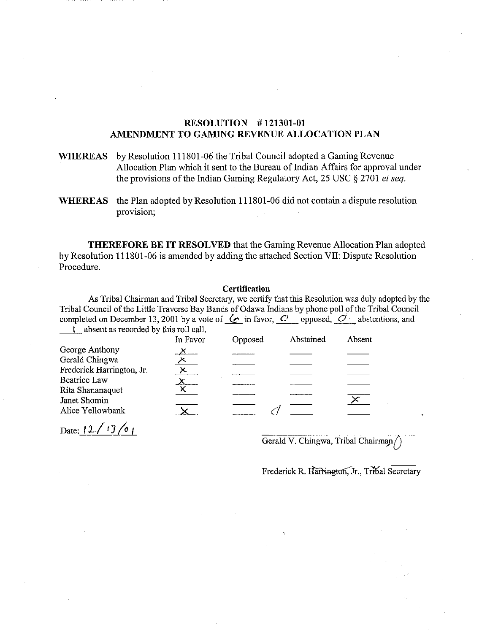## RESOLUTION # 121301-01 AMENDMENT TO GAMING REVENUE ALLOCATION PLAN

- WHEREAS by Resolution 111801-06 the Tribal Council adopted a Gaming Revenue Allocation Plan which it sent to the Bureau of Indian Affairs for approval under the provisions of the Indian Gaming Regulatory Act, 25 USC § 2701 *et seq.*
- WHEREAS the Plan adopted by Resolution 111801-06 did not contain a dispute resolution provision;

THEREFORE BE IT RESOLVED that the Gaming Revenue Allocation Plan adopted by Resolution 111801-06 is amended by adding the attached Section VII: Dispute Resolution Procedure.

## **Certification**

As Tribal Chairman and Tribal Secretary, we certify that this Resolution was duly adopted by the Tribal Council of the Little Traverse Bay Bands of Odawa Indians by phone poll of the Tribal Council completed on December 13, 2001 by a vote of  $\&$  in favor,  $\circ$  opposed,  $\circ$  abstentions, and <sup>I</sup>absent as recorded by this roll call.

| -                         | In Favor | Opposed | Abstained | Absent |  |
|---------------------------|----------|---------|-----------|--------|--|
| George Anthony            |          |         |           |        |  |
| Gerald Chingwa            |          |         |           |        |  |
| Frederick Harrington, Jr. |          |         |           |        |  |
| <b>Beatrice Law</b>       |          |         |           |        |  |
| Rita Shananaquet          |          |         |           |        |  |
| Janet Shomin              |          |         |           |        |  |
| Alice Yellowbank          |          |         |           |        |  |
| Date: $(1) / 17/01$       |          |         | _________ |        |  |

Date:  $12 / 13 / 01$ 

Gerald V. Chingwa, Tribal Chairman

Frederick R. HarNington, Jr., Tribal Secretary